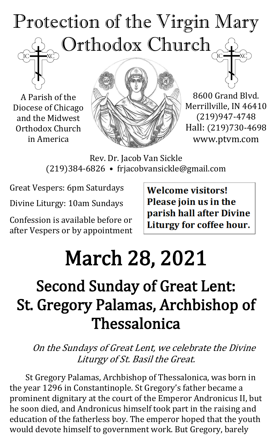# Protection of the Virgin Mary Orthodox Church

A Parish of the Diocese of Chicago and the Midwest Orthodox Church in America



8600 Grand Blvd. Merrillville, IN 46410 (219)947-4748 Hall: (219)730-4698 www.ptvm.com

Rev. Dr. Jacob Van Sickle (219)384-6826 • frjacobvansickle@gmail.com

Great Vespers: 6pm Saturdays

Divine Liturgy: 10am Sundays

Confession is available before or after Vespers or by appointment **Welcome visitors!** Please join us in the parish hall after Divine Liturgy for coffee hour.

## March 28, 2021

### Second Sunday of Great Lent: St. Gregory Palamas, Archbishop of Thessalonica

On the Sundays of Great Lent, we celebrate the Divine Liturgy of St. Basil the Great.

St Gregory Palamas, Archbishop of Thessalonica, was born in the year 1296 in Constantinople. St Gregory's father became a prominent dignitary at the court of the Emperor Andronicus II, but he soon died, and Andronicus himself took part in the raising and education of the fatherless boy. The emperor hoped that the youth would devote himself to government work. But Gregory, barely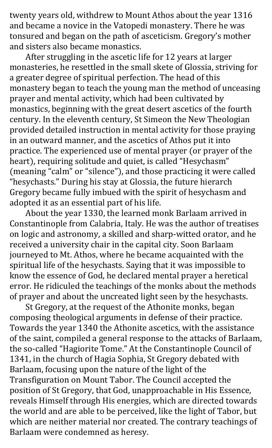twenty years old, withdrew to Mount Athos about the year 1316 and became a novice in the Vatopedi monastery. There he was tonsured and began on the path of asceticism. Gregory's mother and sisters also became monastics.

After struggling in the ascetic life for 12 years at larger monasteries, he resettled in the small skete of Glossia, striving for a greater degree of spiritual perfection. The head of this monastery began to teach the young man the method of unceasing prayer and mental activity, which had been cultivated by monastics, beginning with the great desert ascetics of the fourth century. In the eleventh century, St Simeon the New Theologian provided detailed instruction in mental activity for those praying in an outward manner, and the ascetics of Athos put it into practice. The experienced use of mental prayer (or prayer of the heart), requiring solitude and quiet, is called "Hesychasm" (meaning "calm" or "silence"), and those practicing it were called "hesychasts." During his stay at Glossia, the future hierarch Gregory became fully imbued with the spirit of hesychasm and adopted it as an essential part of his life.

About the year 1330, the learned monk Barlaam arrived in Constantinople from Calabria, Italy. He was the author of treatises on logic and astronomy, a skilled and sharp-witted orator, and he received a university chair in the capital city. Soon Barlaam journeyed to Mt. Athos, where he became acquainted with the spiritual life of the hesychasts. Saying that it was impossible to know the essence of God, he declared mental prayer a heretical error. He ridiculed the teachings of the monks about the methods of prayer and about the uncreated light seen by the hesychasts.

St Gregory, at the request of the Athonite monks, began composing theological arguments in defense of their practice. Towards the year 1340 the Athonite ascetics, with the assistance of the saint, compiled a general response to the attacks of Barlaam, the so-called "Hagiorite Tome." At the Constantinople Council of 1341, in the church of Hagia Sophia, St Gregory debated with Barlaam, focusing upon the nature of the light of the Transfiguration on Mount Tabor. The Council accepted the position of St Gregory, that God, unapproachable in His Essence, reveals Himself through His energies, which are directed towards the world and are able to be perceived, like the light of Tabor, but which are neither material nor created. The contrary teachings of Barlaam were condemned as heresy.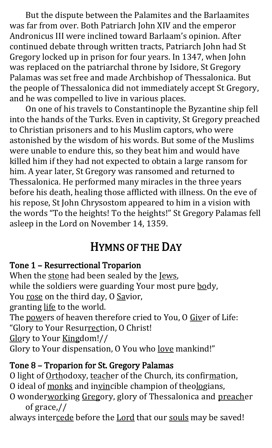But the dispute between the Palamites and the Barlaamites was far from over. Both Patriarch John XIV and the emperor Andronicus III were inclined toward Barlaam's opinion. After continued debate through written tracts, Patriarch John had St Gregory locked up in prison for four years. In 1347, when John was replaced on the patriarchal throne by Isidore, St Gregory Palamas was set free and made Archbishop of Thessalonica. But the people of Thessalonica did not immediately accept St Gregory, and he was compelled to live in various places.

On one of his travels to Constantinople the Byzantine ship fell into the hands of the Turks. Even in captivity, St Gregory preached to Christian prisoners and to his Muslim captors, who were astonished by the wisdom of his words. But some of the Muslims were unable to endure this, so they beat him and would have killed him if they had not expected to obtain a large ransom for him. A year later, St Gregory was ransomed and returned to Thessalonica. He performed many miracles in the three years before his death, healing those afflicted with illness. On the eve of his repose, St John Chrysostom appeared to him in a vision with the words "To the heights! To the heights!" St Gregory Palamas fell asleep in the Lord on November 14, 1359.

#### HYMNS OF THE DAY

#### Tone 1 – Resurrectional Troparion

When the stone had been sealed by the Jews, while the soldiers were guarding Your most pure body, You rose on the third day, O Savior, granting life to the world. The powers of heaven therefore cried to You, O Giver of Life: "Glory to Your Resurrection, O Christ! Glory to Your Kingdom!//

Glory to Your dispensation, O You who love mankind!"

#### Tone 8 – Troparion for St. Gregory Palamas

- O light of Orthodoxy, teacher of the Church, its confirmation,
- O ideal of monks and invincible champion of theologians,
- O wonderworking Gregory, glory of Thessalonica and preacher of grace,//
- always intercede before the Lord that our souls may be saved!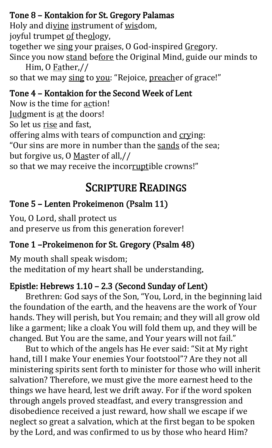#### Tone 8 – Kontakion for St. Gregory Palamas

Holy and divine instrument of wisdom, joyful trumpet of theology, together we sing your praises, O God-inspired Gregory. Since you now stand before the Original Mind, guide our minds to Him, O Father,//

so that we may sing to you: "Rejoice, preacher of grace!"

#### Tone 4 – Kontakion for the Second Week of Lent

Now is the time for action! Judgment is at the doors! So let us rise and fast, offering alms with tears of compunction and crying: "Our sins are more in number than the sands of the sea; but forgive us, O Master of all,// so that we may receive the incorruptible crowns!"

#### SCRIPTURE READINGS

#### Tone 5 – Lenten Prokeimenon (Psalm 11)

You, O Lord, shall protect us and preserve us from this generation forever!

#### Tone 1 –Prokeimenon for St. Gregory (Psalm 48)

My mouth shall speak wisdom; the meditation of my heart shall be understanding.

#### Epistle: Hebrews 1.10 – 2.3 (Second Sunday of Lent)

Brethren: God says of the Son, "You, Lord, in the beginning laid the foundation of the earth, and the heavens are the work of Your hands. They will perish, but You remain; and they will all grow old like a garment; like a cloak You will fold them up, and they will be changed. But You are the same, and Your years will not fail."

But to which of the angels has He ever said: "Sit at My right hand, till I make Your enemies Your footstool"? Are they not all ministering spirits sent forth to minister for those who will inherit salvation? Therefore, we must give the more earnest heed to the things we have heard, lest we drift away. For if the word spoken through angels proved steadfast, and every transgression and disobedience received a just reward, how shall we escape if we neglect so great a salvation, which at the first began to be spoken by the Lord, and was confirmed to us by those who heard Him?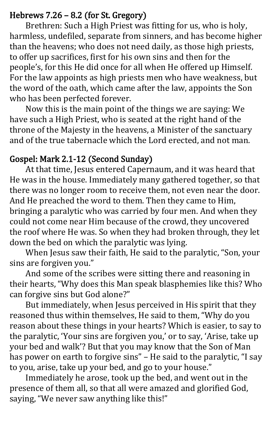#### Hebrews 7.26 – 8.2 (for St. Gregory)

 Brethren: Such a High Priest was fitting for us, who is holy, harmless, undefiled, separate from sinners, and has become higher than the heavens; who does not need daily, as those high priests, to offer up sacrifices, first for his own sins and then for the people's, for this He did once for all when He offered up Himself. For the law appoints as high priests men who have weakness, but the word of the oath, which came after the law, appoints the Son who has been perfected forever.

Now this is the main point of the things we are saying: We have such a High Priest, who is seated at the right hand of the throne of the Majesty in the heavens, a Minister of the sanctuary and of the true tabernacle which the Lord erected, and not man.

#### Gospel: Mark 2.1-12 (Second Sunday)

At that time, Jesus entered Capernaum, and it was heard that He was in the house. Immediately many gathered together, so that there was no longer room to receive them, not even near the door. And He preached the word to them. Then they came to Him, bringing a paralytic who was carried by four men. And when they could not come near Him because of the crowd, they uncovered the roof where He was. So when they had broken through, they let down the bed on which the paralytic was lying.

When Jesus saw their faith, He said to the paralytic, "Son, your sins are forgiven you."

And some of the scribes were sitting there and reasoning in their hearts, "Why does this Man speak blasphemies like this? Who can forgive sins but God alone?"

But immediately, when Jesus perceived in His spirit that they reasoned thus within themselves, He said to them, "Why do you reason about these things in your hearts? Which is easier, to say to the paralytic, 'Your sins are forgiven you,' or to say, 'Arise, take up your bed and walk'? But that you may know that the Son of Man has power on earth to forgive sins" – He said to the paralytic, "I say to you, arise, take up your bed, and go to your house."

Immediately he arose, took up the bed, and went out in the presence of them all, so that all were amazed and glorified God, saying, "We never saw anything like this!"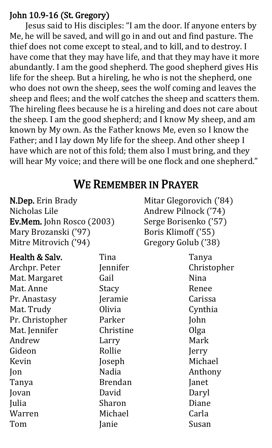#### John 10.9-16 (St. Gregory)

 Jesus said to His disciples: "I am the door. If anyone enters by Me, he will be saved, and will go in and out and find pasture. The thief does not come except to steal, and to kill, and to destroy. I have come that they may have life, and that they may have it more abundantly. I am the good shepherd. The good shepherd gives His life for the sheep. But a hireling, he who is not the shepherd, one who does not own the sheep, sees the wolf coming and leaves the sheep and flees; and the wolf catches the sheep and scatters them. The hireling flees because he is a hireling and does not care about the sheep. I am the good shepherd; and I know My sheep, and am known by My own. As the Father knows Me, even so I know the Father; and I lay down My life for the sheep. And other sheep I have which are not of this fold; them also I must bring, and they will hear My voice; and there will be one flock and one shepherd."

#### WE REMEMBER IN PRAYER

| <b>N.Dep.</b> Erin Brady         |  |  |
|----------------------------------|--|--|
| Nicholas Lile                    |  |  |
| <b>Ev.Mem.</b> John Rosco (2003) |  |  |
| Mary Brozanski ('97)             |  |  |
| Mitre Mitrovich ('94)            |  |  |

Mitar Glegorovich ('84) Andrew Pilnock ('74) Serge Borisenko ('57) Boris Klimoff ('55) Gregory Golub ('38)

| Health & Salv.  | Tina           | Tanya       |
|-----------------|----------------|-------------|
| Archpr. Peter   | Jennifer       | Christopher |
| Mat. Margaret   | Gail           | Nina        |
| Mat. Anne       | Stacy          | Renee       |
| Pr. Anastasy    | Jeramie        | Carissa     |
| Mat. Trudy      | Olivia         | Cynthia     |
| Pr. Christopher | Parker         | John        |
| Mat. Jennifer   | Christine      | Olga        |
| Andrew          | Larry          | Mark        |
| Gideon          | Rollie         | Jerry       |
| Kevin           | Joseph         | Michael     |
| Jon             | Nadia          | Anthony     |
| Tanya           | <b>Brendan</b> | Janet       |
| Jovan           | David          | Daryl       |
| Julia           | Sharon         | Diane       |
| Warren          | Michael        | Carla       |
| Tom             | Janie          | Susan       |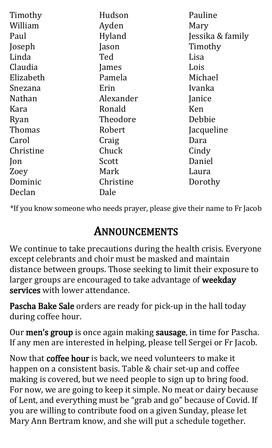| Timothy        | Hudson    | Pauline          |
|----------------|-----------|------------------|
|                |           |                  |
| William        | Ayden     | Mary             |
| Paul           | Hyland    | Jessika & family |
| Joseph         | Jason     | Timothy          |
| Linda          | Ted       | Lisa             |
| Claudia        | James     | Lois             |
| Elizabeth      | Pamela    | Michael          |
| Snezana        | Erin      | Ivanka           |
| <b>Nathan</b>  | Alexander | Janice           |
| Kara           | Ronald    | Ken              |
| Ryan           | Theodore  | Debbie           |
| <b>Thomas</b>  | Robert    | Jacqueline       |
| Carol          | Craig     | Dara             |
| Christine      | Chuck     | Cindy            |
| $\mathsf{lon}$ | Scott     | Daniel           |
| Zoey           | Mark      | Laura            |
| Dominic        | Christine | Dorothy          |
| Declan         | Dale      |                  |

\*If you know someone who needs prayer, please give their name to Fr Jacob

#### ANNOUNCEMENTS

We continue to take precautions during the health crisis. Everyone except celebrants and choir must be masked and maintain distance between groups. Those seeking to limit their exposure to larger groups are encouraged to take advantage of weekday services with lower attendance.

Pascha Bake Sale orders are ready for pick-up in the hall today during coffee hour.

Our men's group is once again making sausage, in time for Pascha. If any men are interested in helping, please tell Sergei or Fr Jacob.

Now that coffee hour is back, we need volunteers to make it happen on a consistent basis. Table & chair set-up and coffee making is covered, but we need people to sign up to bring food. For now, we are going to keep it simple. No meat or dairy because of Lent, and everything must be "grab and go" because of Covid. If you are willing to contribute food on a given Sunday, please let Mary Ann Bertram know, and she will put a schedule together.